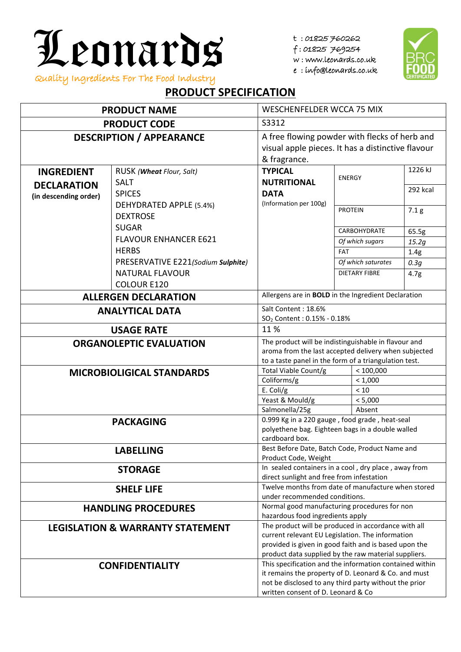

t : 01825 760262

f : 01825 769254

w : www.leonards.co.uk

e : info@leonards.co.uk



## **PRODUCT SPECIFICATION**

| <b>PRODUCT NAME</b>                         |                                    | WESCHENFELDER WCCA 75 MIX                                                                                 |               |                      |                  |
|---------------------------------------------|------------------------------------|-----------------------------------------------------------------------------------------------------------|---------------|----------------------|------------------|
| <b>PRODUCT CODE</b>                         |                                    | S3312                                                                                                     |               |                      |                  |
| <b>DESCRIPTION / APPEARANCE</b>             |                                    | A free flowing powder with flecks of herb and                                                             |               |                      |                  |
|                                             |                                    | visual apple pieces. It has a distinctive flavour                                                         |               |                      |                  |
|                                             |                                    | & fragrance.                                                                                              |               |                      |                  |
| <b>INGREDIENT</b>                           | RUSK ( <b>Wheat</b> Flour, Salt)   | <b>TYPICAL</b>                                                                                            |               |                      | 1226 kJ          |
| <b>DECLARATION</b>                          | SALT                               | <b>NUTRITIONAL</b>                                                                                        | <b>ENERGY</b> |                      |                  |
| (in descending order)                       | <b>SPICES</b>                      | <b>DATA</b>                                                                                               |               |                      | 292 kcal         |
|                                             | DEHYDRATED APPLE (5.4%)            | (Information per 100g)                                                                                    |               | <b>PROTEIN</b>       | 7.1 <sub>g</sub> |
|                                             | <b>DEXTROSE</b>                    |                                                                                                           |               |                      |                  |
|                                             | <b>SUGAR</b>                       |                                                                                                           |               | <b>CARBOHYDRATE</b>  | 65.5g            |
|                                             | <b>FLAVOUR ENHANCER E621</b>       |                                                                                                           |               | Of which sugars      | 15.2g            |
|                                             | <b>HERBS</b>                       |                                                                                                           | <b>FAT</b>    |                      | 1.4g             |
|                                             | PRESERVATIVE E221(Sodium Sulphite) |                                                                                                           |               | Of which saturates   | 0.3g             |
|                                             | <b>NATURAL FLAVOUR</b>             |                                                                                                           |               | <b>DIETARY FIBRE</b> | 4.7 <sub>g</sub> |
|                                             | <b>COLOUR E120</b>                 |                                                                                                           |               |                      |                  |
|                                             | <b>ALLERGEN DECLARATION</b>        | Allergens are in <b>BOLD</b> in the Ingredient Declaration                                                |               |                      |                  |
|                                             | <b>ANALYTICAL DATA</b>             | Salt Content: 18.6%                                                                                       |               |                      |                  |
|                                             |                                    | SO <sub>2</sub> Content: 0.15% - 0.18%                                                                    |               |                      |                  |
|                                             | <b>USAGE RATE</b>                  | 11%                                                                                                       |               |                      |                  |
|                                             | <b>ORGANOLEPTIC EVALUATION</b>     | The product will be indistinguishable in flavour and                                                      |               |                      |                  |
|                                             |                                    | aroma from the last accepted delivery when subjected                                                      |               |                      |                  |
|                                             | <b>MICROBIOLIGICAL STANDARDS</b>   | to a taste panel in the form of a triangulation test.<br>Total Viable Count/g<br>< 100,000                |               |                      |                  |
|                                             |                                    | Coliforms/g<br>< 1,000                                                                                    |               |                      |                  |
|                                             |                                    | E. Coli/g<br>$<10$                                                                                        |               |                      |                  |
|                                             |                                    | Yeast & Mould/g<br>< 5,000                                                                                |               |                      |                  |
|                                             |                                    | Salmonella/25g<br>Absent                                                                                  |               |                      |                  |
|                                             | <b>PACKAGING</b>                   | 0.999 Kg in a 220 gauge, food grade, heat-seal                                                            |               |                      |                  |
|                                             |                                    | polyethene bag. Eighteen bags in a double walled<br>cardboard box.                                        |               |                      |                  |
|                                             | <b>LABELLING</b>                   | Best Before Date, Batch Code, Product Name and                                                            |               |                      |                  |
|                                             |                                    | Product Code, Weight                                                                                      |               |                      |                  |
|                                             | <b>STORAGE</b>                     | In sealed containers in a cool, dry place, away from                                                      |               |                      |                  |
|                                             |                                    | direct sunlight and free from infestation                                                                 |               |                      |                  |
|                                             | <b>SHELF LIFE</b>                  | Twelve months from date of manufacture when stored<br>under recommended conditions.                       |               |                      |                  |
| <b>HANDLING PROCEDURES</b>                  |                                    | Normal good manufacturing procedures for non                                                              |               |                      |                  |
|                                             |                                    | hazardous food ingredients apply                                                                          |               |                      |                  |
| <b>LEGISLATION &amp; WARRANTY STATEMENT</b> |                                    | The product will be produced in accordance with all                                                       |               |                      |                  |
|                                             |                                    | current relevant EU Legislation. The information<br>provided is given in good faith and is based upon the |               |                      |                  |
|                                             |                                    | product data supplied by the raw material suppliers.                                                      |               |                      |                  |
| <b>CONFIDENTIALITY</b>                      |                                    | This specification and the information contained within                                                   |               |                      |                  |
|                                             |                                    | it remains the property of D. Leonard & Co. and must                                                      |               |                      |                  |
|                                             |                                    | not be disclosed to any third party without the prior                                                     |               |                      |                  |
|                                             |                                    | written consent of D. Leonard & Co                                                                        |               |                      |                  |